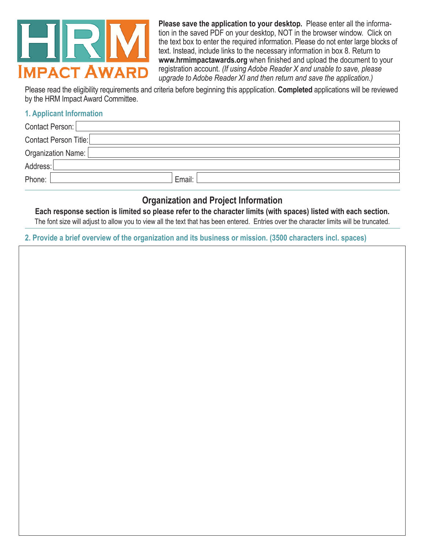

**Please save the application to your desktop.** Please enter all the information in the saved PDF on your desktop, NOT in the browser window. Click on the text box to enter the required information. Please do not enter large blocks of text. Instead, include links to the necessary information in box 8. Return to **www.hrmimpactawards.org** when finished and upload the document to your registration account. *(If using Adobe Reader X and unable to save, please upgrade to Adobe Reader XI and then return and save the application.)*

Please read the eligibility requirements and criteria before beginning this appplication. **Completed** applications will be reviewed by the HRM Impact Award Committee.

## **1. Applicant Information**

| Contact Person:       |        |
|-----------------------|--------|
| Contact Person Title: |        |
| Organization Name: [  |        |
| Address:              |        |
| Phone:                | Email: |

## **Organization and Project Information**

**Each response section is limited so please refer to the character limits (with spaces) listed with each section.** 

The font size will adjust to allow you to view all the text that has been entered. Entries over the character limits will be truncated.

**2. Provide a brief overview of the organization and its business or mission. (3500 characters incl. spaces)**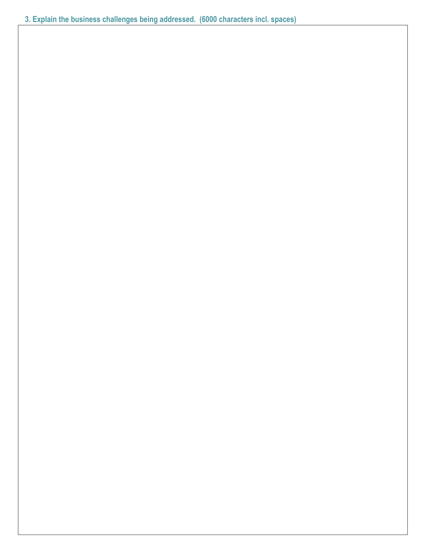**3. Explain the business challenges being addressed. (6000 characters incl. spaces)**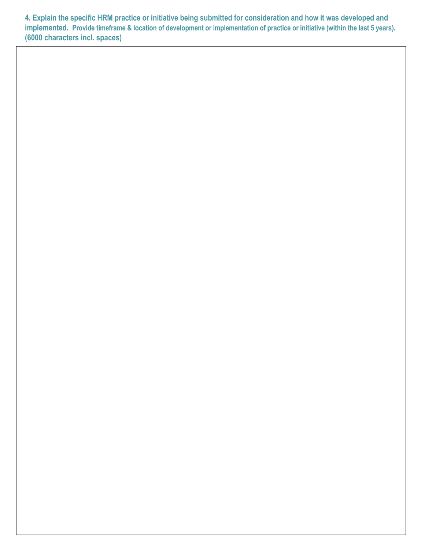**4. Explain the specific HRM practice or initiative being submitted for consideration and how it was developed and implemented. Provide timeframe & location of development or implementation of practice or initiative (within the last 5 years). (6000 characters incl. spaces)**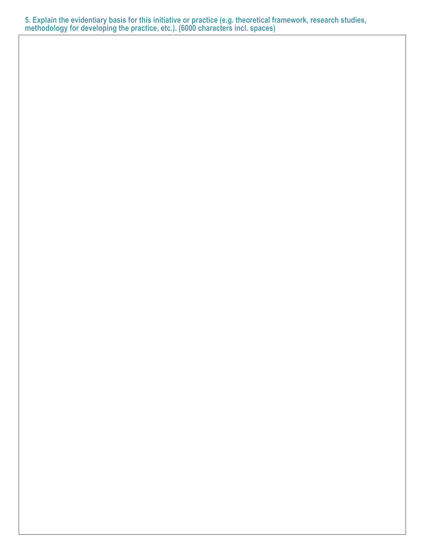**5. Explain the evidentiary basis for this initiative or practice (e.g. theoretical framework, research studies, methodology for developing the practice, etc.). (6000 characters incl. spaces)**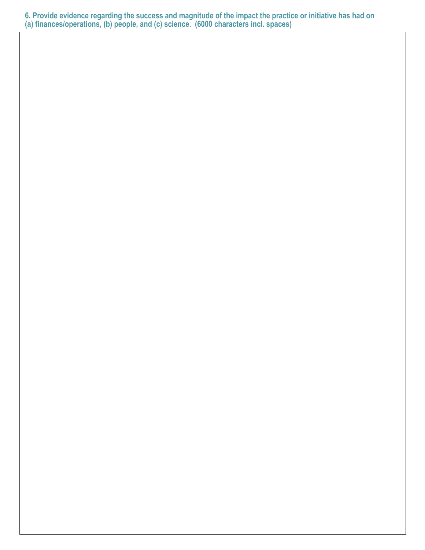**6. Provide evidence regarding the success and magnitude of the impact the practice or initiative has had on (a) finances/operations, (b) people, and (c) science. (6000 characters incl. spaces)**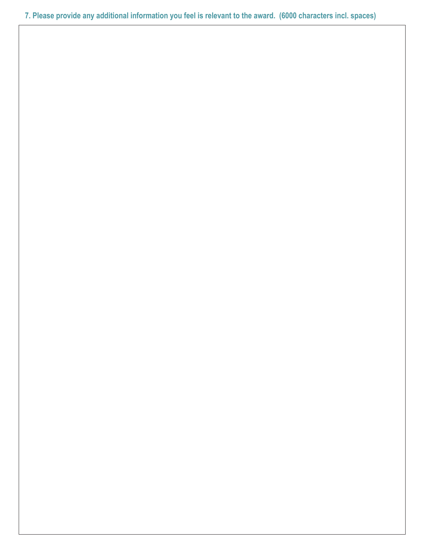**7. Please provide any additional information you feel is relevant to the award. (6000 characters incl. spaces)**